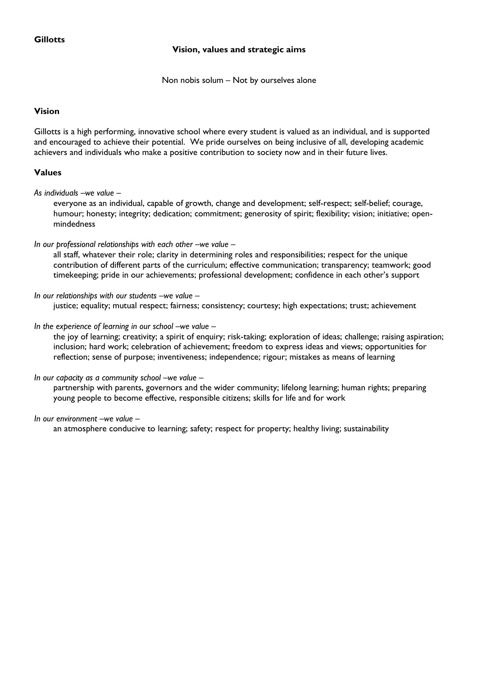# **Vision, values and strategic aims**

Non nobis solum – Not by ourselves alone

## **Vision**

Gillotts is a high performing, innovative school where every student is valued as an individual, and is supported and encouraged to achieve their potential. We pride ourselves on being inclusive of all, developing academic achievers and individuals who make a positive contribution to society now and in their future lives.

## **Values**

*As individuals –we value –*

everyone as an individual, capable of growth, change and development; self-respect; self-belief; courage, humour; honesty; integrity; dedication; commitment; generosity of spirit; flexibility; vision; initiative; openmindedness

#### *In our professional relationships with each other –we value –*

all staff, whatever their role; clarity in determining roles and responsibilities; respect for the unique contribution of different parts of the curriculum; effective communication; transparency; teamwork; good timekeeping; pride in our achievements; professional development; confidence in each other's support

#### *In our relationships with our students –we value –*

justice; equality; mutual respect; fairness; consistency; courtesy; high expectations; trust; achievement

#### *In the experience of learning in our school –we value –*

the joy of learning; creativity; a spirit of enquiry; risk-taking; exploration of ideas; challenge; raising aspiration; inclusion; hard work; celebration of achievement; freedom to express ideas and views; opportunities for reflection; sense of purpose; inventiveness; independence; rigour; mistakes as means of learning

#### *In our capacity as a community school –we value –*

partnership with parents, governors and the wider community; lifelong learning; human rights; preparing young people to become effective, responsible citizens; skills for life and for work

#### *In our environment –we value –*

an atmosphere conducive to learning; safety; respect for property; healthy living; sustainability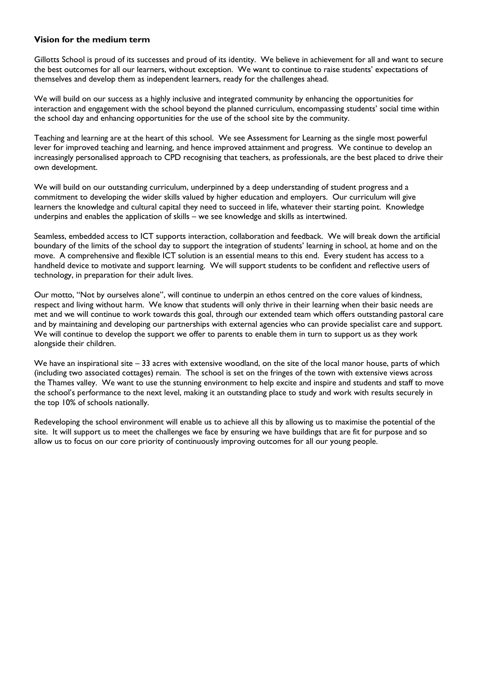#### **Vision for the medium term**

Gillotts School is proud of its successes and proud of its identity. We believe in achievement for all and want to secure the best outcomes for all our learners, without exception. We want to continue to raise students' expectations of themselves and develop them as independent learners, ready for the challenges ahead.

We will build on our success as a highly inclusive and integrated community by enhancing the opportunities for interaction and engagement with the school beyond the planned curriculum, encompassing students' social time within the school day and enhancing opportunities for the use of the school site by the community.

Teaching and learning are at the heart of this school. We see Assessment for Learning as the single most powerful lever for improved teaching and learning, and hence improved attainment and progress. We continue to develop an increasingly personalised approach to CPD recognising that teachers, as professionals, are the best placed to drive their own development.

We will build on our outstanding curriculum, underpinned by a deep understanding of student progress and a commitment to developing the wider skills valued by higher education and employers. Our curriculum will give learners the knowledge and cultural capital they need to succeed in life, whatever their starting point. Knowledge underpins and enables the application of skills – we see knowledge and skills as intertwined.

Seamless, embedded access to ICT supports interaction, collaboration and feedback. We will break down the artificial boundary of the limits of the school day to support the integration of students' learning in school, at home and on the move. A comprehensive and flexible ICT solution is an essential means to this end. Every student has access to a handheld device to motivate and support learning. We will support students to be confident and reflective users of technology, in preparation for their adult lives.

Our motto, "Not by ourselves alone", will continue to underpin an ethos centred on the core values of kindness, respect and living without harm. We know that students will only thrive in their learning when their basic needs are met and we will continue to work towards this goal, through our extended team which offers outstanding pastoral care and by maintaining and developing our partnerships with external agencies who can provide specialist care and support. We will continue to develop the support we offer to parents to enable them in turn to support us as they work alongside their children.

We have an inspirational site  $-33$  acres with extensive woodland, on the site of the local manor house, parts of which (including two associated cottages) remain. The school is set on the fringes of the town with extensive views across the Thames valley. We want to use the stunning environment to help excite and inspire and students and staff to move the school's performance to the next level, making it an outstanding place to study and work with results securely in the top 10% of schools nationally.

Redeveloping the school environment will enable us to achieve all this by allowing us to maximise the potential of the site. It will support us to meet the challenges we face by ensuring we have buildings that are fit for purpose and so allow us to focus on our core priority of continuously improving outcomes for all our young people.